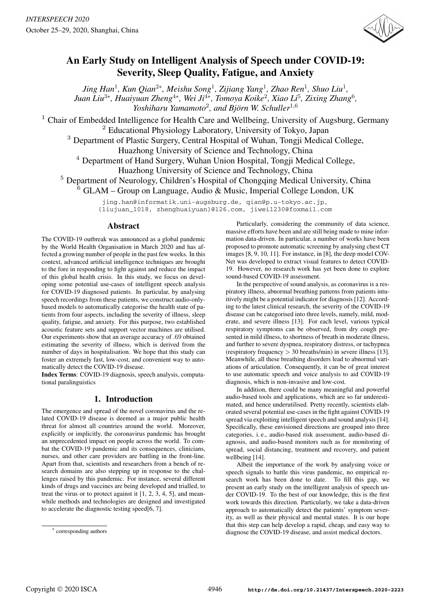

# An Early Study on Intelligent Analysis of Speech under COVID-19: Severity, Sleep Quality, Fatigue, and Anxiety

*Jing Han*<sup>1</sup> *, Kun Qian*<sup>2</sup><sup>∗</sup> *, Meishu Song*<sup>1</sup> *, Zijiang Yang*<sup>1</sup> *, Zhao Ren*<sup>1</sup> *, Shuo Liu*<sup>1</sup> *, Juan Liu* $^{3*}$ *, Huaiyuan Zheng* $^{4*}$ *, Wei Ji* $^{4*}$ *, Tomoya Koike* $^2$ *, Xiao Li* $^5$ *, Zixing Zhang* $^6$ *,* Yoshiharu Yamamoto<sup>2</sup>, and Björn W. Schuller<sup>1,6</sup>

<sup>1</sup> Chair of Embedded Intelligence for Health Care and Wellbeing, University of Augsburg, Germany

<sup>2</sup> Educational Physiology Laboratory, University of Tokyo, Japan

<sup>3</sup> Department of Plastic Surgery, Central Hospital of Wuhan, Tongji Medical College,

Huazhong University of Science and Technology, China

<sup>4</sup> Department of Hand Surgery, Wuhan Union Hospital, Tongji Medical College,

Huazhong University of Science and Technology, China

<sup>5</sup> Department of Neurology, Children's Hospital of Chongqing Medical University, China

<sup>6</sup> GLAM – Group on Language, Audio & Music, Imperial College London, UK

jing.han@informatik.uni-augsburg.de, qian@p.u-tokyo.ac.jp, {liujuan\_1018, zhenghuaiyuan}@126.com, jiwei1230@foxmail.com

# Abstract

The COVID-19 outbreak was announced as a global pandemic by the World Health Organisation in March 2020 and has affected a growing number of people in the past few weeks. In this context, advanced artificial intelligence techniques are brought to the fore in responding to fight against and reduce the impact of this global health crisis. In this study, we focus on developing some potential use-cases of intelligent speech analysis for COVID-19 diagnosed patients. In particular, by analysing speech recordings from these patients, we construct audio-onlybased models to automatically categorise the health state of patients from four aspects, including the severity of illness, sleep quality, fatigue, and anxiety. For this purpose, two established acoustic feature sets and support vector machines are utilised. Our experiments show that an average accuracy of .69 obtained estimating the severity of illness, which is derived from the number of days in hospitalisation. We hope that this study can foster an extremely fast, low-cost, and convenient way to automatically detect the COVID-19 disease.

Index Terms: COVID-19 diagnosis, speech analysis, computational paralinguistics

# 1. Introduction

The emergence and spread of the novel coronavirus and the related COVID-19 disease is deemed as a major public health threat for almost all countries around the world. Moreover, explicitly or implicitly, the coronavirus pandemic has brought an unprecedented impact on people across the world. To combat the COVID-19 pandemic and its consequences, clinicians, nurses, and other care providers are battling in the front-line. Apart from that, scientists and researchers from a bench of research domains are also stepping up in response to the challenges raised by this pandemic. For instance, several different kinds of drugs and vaccines are being developed and trialled, to treat the virus or to protect against it [1, 2, 3, 4, 5], and meanwhile methods and technologies are designed and investigated to accelerate the diagnostic testing speed[6, 7].

∗ corresponding authors

Particularly, considering the community of data science, massive efforts have been and are still being made to mine information data-driven. In particular, a number of works have been proposed to promote automatic screening by analysing chest CT images [8, 9, 10, 11]. For instance, in [8], the deep model COV-Net was developed to extract visual features to detect COVID-19. However, no research work has yet been done to explore sound-based COVID-19 assessment.

In the perspective of sound analysis, as coronavirus is a respiratory illness, abnormal breathing patterns from patients intuitively might be a potential indicator for diagnosis [12]. According to the latest clinical research, the severity of the COVID-19 disease can be categorised into three levels, namely, mild, moderate, and severe illness [13]. For each level, various typical respiratory symptoms can be observed, from dry cough presented in mild illness, to shortness of breath in moderate illness, and further to severe dyspnea, respiratory distress, or tachypnea (respiratory frequency > 30 breaths/min) in severe illness [13]. Meanwhile, all these breathing disorders lead to abnormal variations of articulation. Consequently, it can be of great interest to use automatic speech and voice analysis to aid COVID-19 diagnosis, which is non-invasive and low-cost.

In addition, there could be many meaningful and powerful audio-based tools and applications, which are so far underestimated, and hence underutilised. Pretty recently, scientists elaborated several potential use-cases in the fight against COVID-19 spread via exploiting intelligent speech and sound analysis [14]. Specifically, these envisioned directions are grouped into three categories, i. e., audio-based risk assessment, audio-based diagnosis, and audio-based monitors such as for monitoring of spread, social distancing, treatment and recovery, and patient wellbeing [14].

Albeit the importance of the work by analysing voice or speech signals to battle this virus pandemic, no empirical research work has been done to date. To fill this gap, we present an early study on the intelligent analysis of speech under COVID-19. To the best of our knowledge, this is the first work towards this direction. Particularly, we take a data-driven approach to automatically detect the patients' symptom severity, as well as their physical and mental states. It is our hope that this step can help develop a rapid, cheap, and easy way to diagnose the COVID-19 disease, and assist medical doctors.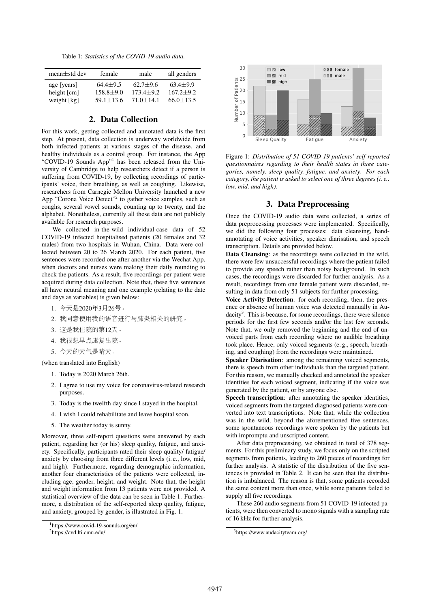Table 1: *Statistics of the COVID-19 audio data.*

| $mean \pm std$ dev          | female        | male          | all genders   |
|-----------------------------|---------------|---------------|---------------|
| age [years]                 | $64.4 + 9.5$  | $62.7+9.6$    | $63.4 + 9.9$  |
| height $\lceil$ cm $\rceil$ | $158.8 + 9.0$ | $173.4 + 9.2$ | $167.2 + 9.2$ |
| weight [kg]                 | $59.1 + 13.6$ | $71.0 + 14.1$ | $66.0 + 13.5$ |

# 2. Data Collection

For this work, getting collected and annotated data is the first step. At present, data collection is underway worldwide from both infected patients at various stages of the disease, and healthy individuals as a control group. For instance, the App "COVID-19 Sounds App"<sup>1</sup> has been released from the University of Cambridge to help researchers detect if a person is suffering from COVID-19, by collecting recordings of participants' voice, their breathing, as well as coughing. Likewise, researchers from Carnegie Mellon University launched a new App "Corona Voice Detect"<sup>2</sup> to gather voice samples, such as coughs, several vowel sounds, counting up to twenty, and the alphabet. Nonetheless, currently all these data are not publicly available for research purposes.

We collected in-the-wild individual-case data of 52 COVID-19 infected hospitalised patients (20 females and 32 males) from two hospitals in Wuhan, China. Data were collected between 20 to 26 March 2020. For each patient, five sentences were recorded one after another via the Wechat App, when doctors and nurses were making their daily rounding to check the patients. As a result, five recordings per patient were acquired during data collection. Note that, these five sentences all have neutral meaning and one example (relating to the date and days as variables) is given below:

- 1. <sup>今</sup>天是2020年3月26号。
- 2. 我同意使用我的语音进行与肺炎相关的研究。
- 3. <sup>这</sup>是我住院的第12天。
- 4. 我很想早点康复出院。
- 5. <sup>今</sup>天的天气是晴天。

(when translated into English)

- 1. Today is 2020 March 26th.
- 2. I agree to use my voice for coronavirus-related research purposes.
- 3. Today is the twelfth day since I stayed in the hospital.
- 4. I wish I could rehabilitate and leave hospital soon.
- 5. The weather today is sunny.

Moreover, three self-report questions were answered by each patient, regarding her (or his) sleep quality, fatigue, and anxiety. Specifically, participants rated their sleep quality/ fatigue/ anxiety by choosing from three different levels (i. e., low, mid, and high). Furthermore, regarding demographic information, another four characteristics of the patients were collected, including age, gender, height, and weight. Note that, the height and weight information from 13 patients were not provided. A statistical overview of the data can be seen in Table 1. Furthermore, a distribution of the self-reported sleep quality, fatigue, and anxiety, grouped by gender, is illustrated in Fig. 1.



Figure 1: *Distribution of 51 COVID-19 patients' self-reported questionnaires regarding to their health states in three categories, namely, sleep quality, fatigue, and anxiety. For each category, the patient is asked to select one of three degrees (i. e., low, mid, and high).*

# 3. Data Preprocessing

Once the COVID-19 audio data were collected, a series of data preprocessing processes were implemented. Specifically, we did the following four processes: data cleansing, handannotating of voice activities, speaker diarisation, and speech transcription. Details are provided below.

Data Cleansing: as the recordings were collected in the wild, there were few unsuccessful recordings where the patient failed to provide any speech rather than noisy background. In such cases, the recordings were discarded for further analysis. As a result, recordings from one female patient were discarded, resulting in data from only 51 subjects for further processing.

Voice Activity Detection: for each recording, then, the presence or absence of human voice was detected manually in Audacity<sup>3</sup>. This is because, for some recordings, there were silence periods for the first few seconds and/or the last few seconds. Note that, we only removed the beginning and the end of unvoiced parts from each recording where no audible breathing took place. Hence, only voiced segments (e. g., speech, breathing, and coughing) from the recordings were maintained.

Speaker Diarisation: among the remaining voiced segments, there is speech from other individuals than the targeted patient. For this reason, we manually checked and annotated the speaker identities for each voiced segment, indicating if the voice was generated by the patient, or by anyone else.

Speech transcription: after annotating the speaker identities, voiced segments from the targeted diagnosed patients were converted into text transcriptions. Note that, while the collection was in the wild, beyond the aforementioned five sentences, some spontaneous recordings were spoken by the patients but with impromptu and unscripted content.

After data preprocessing, we obtained in total of 378 segments. For this preliminary study, we focus only on the scripted segments from patients, leading to 260 pieces of recordings for further analysis. A statistic of the distribution of the five sentences is provided in Table 2. It can be seen that the distribution is imbalanced. The reason is that, some patients recorded the same content more than once, while some patients failed to supply all five recordings.

These 260 audio segments from 51 COVID-19 infected patients, were then converted to mono signals with a sampling rate of 16 kHz for further analysis.

 $\frac{1}{1}$ https://www.covid-19-sounds.org/en/

<sup>2</sup>https://cvd.lti.cmu.edu/

<sup>3</sup>https://www.audacityteam.org/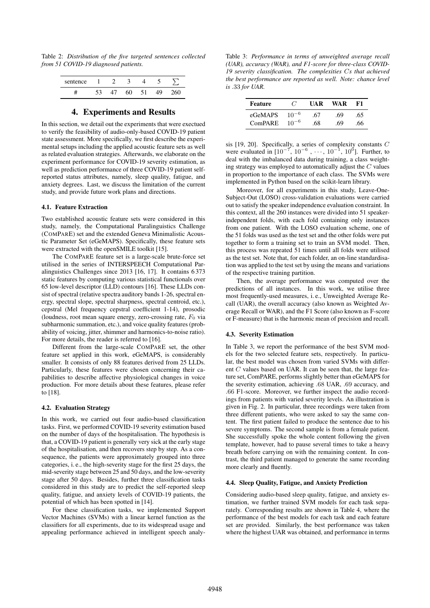Table 2: *Distribution of the five targeted sentences collected from 51 COVID-19 diagnosed patients.*

| sentence |  |  |  |
|----------|--|--|--|
|          |  |  |  |

# 4. Experiments and Results

In this section, we detail out the experiments that were exectued to verify the feasibility of audio-only-based COVID-19 patient state assessment. More specifically, we first describe the experimental setups including the applied acoustic feature sets as well as related evaluation strategies. Afterwards, we elaborate on the experiment performance for COVID-19 severity estimation, as well as prediction performance of three COVID-19 patient selfreported status attributes, namely, sleep quality, fatigue, and anxiety degrees. Last, we discuss the limitation of the current study, and provide future work plans and directions.

#### 4.1. Feature Extraction

Two established acoustic feature sets were considered in this study, namely, the Computational Paralinguistics Challenge (COMPARE) set and the extended Geneva Minimalistic Acoustic Parameter Set (eGeMAPS). Specifically, these feature sets were extracted with the openSMILE toolkit [15].

The COMPARE feature set is a large-scale brute-force set utilised in the series of INTERSPEECH Computational Paralinguistics Challenges since 2013 [16, 17]. It contains 6 373 static features by computing various statistical functionals over 65 low-level descriptor (LLD) contours [16]. These LLDs consist of spectral (relative spectra auditory bands 1-26, spectral energy, spectral slope, spectral sharpness, spectral centroid, etc.), cepstral (Mel frequency cepstral coefficient 1-14), prosodic (loudness, root mean square energy, zero-crossing rate,  $F_0$  via subharmonic summation, etc.), and voice quality features (probability of voicing, jitter, shimmer and harmonics-to-noise ratio). For more details, the reader is referred to [16].

Different from the large-scale COMPARE set, the other feature set applied in this work, eGeMAPS, is considerably smaller. It consists of only 88 features derived from 25 LLDs. Particularly, these features were chosen concerning their capabilities to describe affective physiological changes in voice production. For more details about these features, please refer to [18].

#### 4.2. Evaluation Strategy

In this work, we carried out four audio-based classification tasks. First, we performed COVID-19 severity estimation based on the number of days of the hospitalisation. The hypothesis is that, a COVID-19 patient is generally very sick at the early stage of the hospitalisation, and then recovers step by step. As a consequence, the patients were approximately grouped into three categories, i. e., the high-severity stage for the first 25 days, the mid-severity stage between 25 and 50 days, and the low-severity stage after 50 days. Besides, further three classification tasks considered in this study are to predict the self-reported sleep quality, fatigue, and anxiety levels of COVID-19 patients, the potential of which has been spotted in [14].

For these classification tasks, we implemented Support Vector Machines (SVMs) with a linear kernel function as the classifiers for all experiments, due to its widespread usage and appealing performance achieved in intelligent speech analy-

Table 3: *Performance in terms of unweighted average recall (UAR), accuracy (WAR), and F1-score for three-class COVID-19 severity classification. The complexities* C*s that achieved the best performance are reported as well. Note: chance level is* .33 *for UAR.*

| <b>Feature</b> | $\epsilon$ | I JA R | WA R | F1  |
|----------------|------------|--------|------|-----|
| eGeMAPS        | $10^{-6}$  | .67    | .69  | .65 |
| <b>ComPARE</b> | $10^{-6}$  | .68    | -69  | .66 |

sis [19, 20]. Specifically, a series of complexity constants C were evaluated in  $[10^{-7}, 10^{-6}, \dots, 10^{-1}, 10^{0}]$ . Further, to deal with the imbalanced data during training, a class weighting strategy was employed to automatically adjust the  $C$  values in proportion to the importance of each class. The SVMs were implemented in Python based on the scikit-learn library.

Moreover, for all experiments in this study, Leave-One-Subject-Out (LOSO) cross-validation evaluations were carried out to satisfy the speaker independence evaluation constraint. In this context, all the 260 instances were divided into 51 speakerindependent folds, with each fold containing only instances from one patient. With the LOSO evaluation scheme, one of the 51 folds was used as the test set and the other folds were put together to form a training set to train an SVM model. Then, this process was repeated 51 times until all folds were utilised as the test set. Note that, for each folder, an on-line standardisation was applied to the test set by using the means and variations of the respective training partition.

Then, the average performance was computed over the predictions of all instances. In this work, we utilise three most frequently-used measures, i. e., Unweighted Average Recall (UAR), the overall accuracy (also known as Weighted Average Recall or WAR), and the F1 Score (also known as F-score or F-measure) that is the harmonic mean of precision and recall.

#### 4.3. Severity Estimation

In Table 3, we report the performance of the best SVM models for the two selected feature sets, respectively. In particular, the best model was chosen from varied SVMs with different C values based on UAR. It can be seen that, the large feature set, ComPARE, performs slightly better than eGeMAPS for the severity estimation, achieving .68 UAR, .69 accuracy, and .66 F1-score. Moreover, we further inspect the audio recordings from patients with varied severity levels. An illustration is given in Fig. 2. In particular, three recordings were taken from three different patients, who were asked to say the same content. The first patient failed to produce the sentence due to his severe symptoms. The second sample is from a female patient. She successfully spoke the whole content following the given template, however, had to pause several times to take a heavy breath before carrying on with the remaining content. In contrast, the third patient managed to generate the same recording more clearly and fluently.

#### 4.4. Sleep Quality, Fatigue, and Anxiety Prediction

Considering audio-based sleep quality, fatigue, and anxiety estimation, we further trained SVM models for each task separately. Corresponding results are shown in Table 4, where the performance of the best models for each task and each feature set are provided. Similarly, the best performance was taken where the highest UAR was obtained, and performance in terms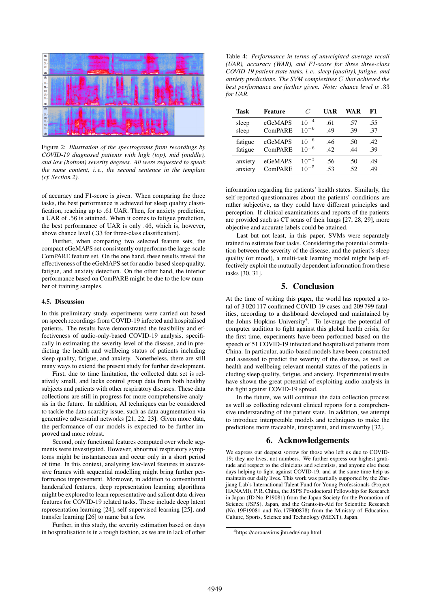

Figure 2: *Illustration of the spectrograms from recordings by COVID-19 diagnosed patients with high (top), mid (middle), and low (bottom) severity degrees. All were requested to speak the same content, i. e., the second sentence in the template (cf. Section 2).*

of accuracy and F1-score is given. When comparing the three tasks, the best performance is achieved for sleep quality classification, reaching up to .61 UAR. Then, for anxiety prediction, a UAR of .56 is attained. When it comes to fatigue prediction, the best performance of UAR is only .46, which is, however, above chance level (.33 for three-class classification).

Further, when comparing two selected feature sets, the compact eGeMAPS set consistently outperforms the large-scale ComPARE feature set. On the one hand, these results reveal the effectiveness of the eGeMAPS set for audio-based sleep quality, fatigue, and anxiety detection. On the other hand, the inferior performance based on ComPARE might be due to the low number of training samples.

#### 4.5. Discussion

In this preliminary study, experiments were carried out based on speech recordings from COVID-19 infected and hospitalised patients. The results have demonstrated the feasibility and effectiveness of audio-only-based COVID-19 analysis, specifically in estimating the severity level of the disease, and in predicting the health and wellbeing status of patients including sleep quality, fatigue, and anxiety. Nonetheless, there are still many ways to extend the present study for further development.

First, due to time limitation, the collected data set is relatively small, and lacks control group data from both healthy subjects and patients with other respiratory diseases. These data collections are still in progress for more comprehensive analysis in the future. In addition, AI techniques can be considered to tackle the data scarcity issue, such as data augmentation via generative adversarial networks [21, 22, 23]. Given more data, the performance of our models is expected to be further improved and more robust.

Second, only functional features computed over whole segments were investigated. However, abnormal respiratory symptoms might be instantaneous and occur only in a short period of time. In this context, analysing low-level features in successive frames with sequential modelling might bring further performance improvement. Moreover, in addition to conventional handcrafted features, deep representation learning algorithms might be explored to learn representative and salient data-driven features for COVID-19 related tasks. These include deep latent representation learning [24], self-supervised learning [25], and transfer learning [26] to name but a few.

Further, in this study, the severity estimation based on days in hospitalisation is in a rough fashion, as we are in lack of other

Table 4: *Performance in terms of unweighted average recall (UAR), accuracy (WAR), and F1-score for three three-class COVID-19 patient state tasks, i. e., sleep (quality), fatigue, and anxiety predictions. The SVM complexities* C *that achieved the best performance are further given. Note: chance level is* .33 *for UAR.*

| <b>Task</b> | <b>Feature</b> | C         | UAR | WA R | F1  |
|-------------|----------------|-----------|-----|------|-----|
| sleep       | eGeMAPS        | $10^{-4}$ | .61 | .57  | .55 |
| sleep       | ComPARE        | $10^{-6}$ | .49 | .39  | .37 |
| fatigue     | eGeMAPS        | $10^{-6}$ | .46 | .50  | .42 |
| fatigue     | ComPARE        | $10^{-6}$ | 42  | .44  | .39 |
| anxiety     | eGeMAPS        | $10^{-3}$ | .56 | .50  | .49 |
| anxiety     | ComPARE        | $10^{-5}$ | .53 | .52  | .49 |

information regarding the patients' health states. Similarly, the self-reported questionnaires about the patients' conditions are rather subjective, as they could have different principles and perception. If clinical examinations and reports of the patients are provided such as CT scans of their lungs [27, 28, 29], more objective and accurate labels could be attained.

Last but not least, in this paper, SVMs were separately trained to estimate four tasks. Considering the potential correlation between the severity of the disease, and the patient's sleep quality (or mood), a multi-task learning model might help effectively exploit the mutually dependent information from these tasks [30, 31].

## 5. Conclusion

At the time of writing this paper, the world has reported a total of 3 020 117 confirmed COVID-19 cases and 209 799 fatalities, according to a dashboard developed and maintained by the Johns Hopkins University<sup>4</sup>. To leverage the potential of computer audition to fight against this global health crisis, for the first time, experiments have been performed based on the speech of 51 COVID-19 infected and hospitalised patients from China. In particular, audio-based models have been constructed and assessed to predict the severity of the disease, as well as health and wellbeing-relevant mental states of the patients including sleep quality, fatigue, and anxiety. Experimental results have shown the great potential of exploiting audio analysis in the fight against COVID-19 spread.

In the future, we will continue the data collection process as well as collecting relevant clinical reports for a comprehensive understanding of the patient state. In addition, we attempt to introduce interpretable models and techniques to make the predictions more traceable, transparent, and trustworthy [32].

# 6. Acknowledgements

We express our deepest sorrow for those who left us due to COVID-19; they are lives, not numbers. We further express our highest gratitude and respect to the clinicians and scientists, and anyone else these days helping to fight against COVID-19, and at the same time help us maintain our daily lives. This work was partially supported by the Zhejiang Lab's International Talent Fund for Young Professionals (Project HANAMI), P. R. China, the JSPS Postdoctoral Fellowship for Research in Japan (ID No. P19081) from the Japan Society for the Promotion of Science (JSPS), Japan, and the Grants-in-Aid for Scientific Research (No. 19F19081 and No. 17H00878) from the Ministry of Education, Culture, Sports, Science and Technology (MEXT), Japan.

<sup>4</sup>https://coronavirus.jhu.edu/map.html